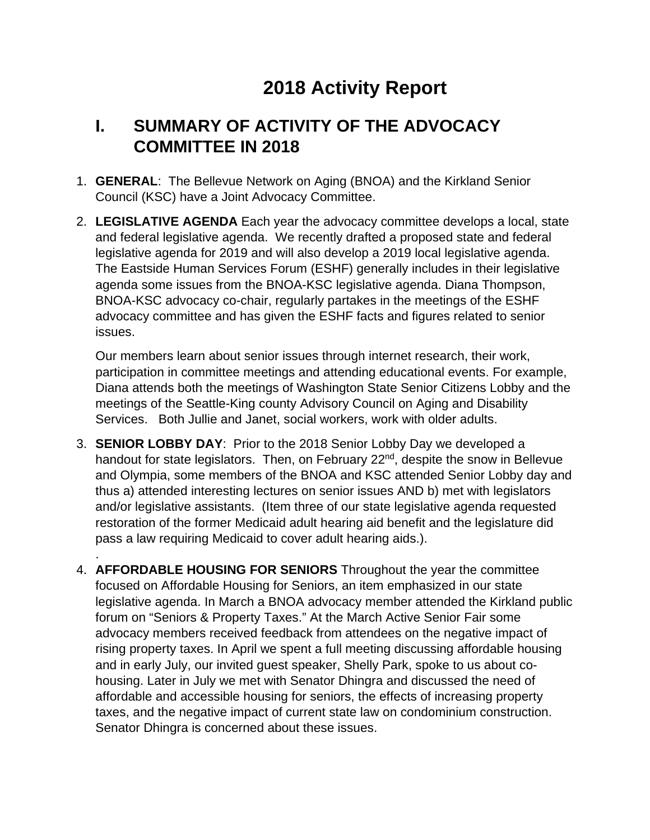# **2018 Activity Report**

# **I. SUMMARY OF ACTIVITY OF THE ADVOCACY COMMITTEE IN 2018**

- 1. **GENERAL**: The Bellevue Network on Aging (BNOA) and the Kirkland Senior Council (KSC) have a Joint Advocacy Committee.
- 2. **LEGISLATIVE AGENDA** Each year the advocacy committee develops a local, state and federal legislative agenda. We recently drafted a proposed state and federal legislative agenda for 2019 and will also develop a 2019 local legislative agenda. The Eastside Human Services Forum (ESHF) generally includes in their legislative agenda some issues from the BNOA-KSC legislative agenda. Diana Thompson, BNOA-KSC advocacy co-chair, regularly partakes in the meetings of the ESHF advocacy committee and has given the ESHF facts and figures related to senior issues.

Our members learn about senior issues through internet research, their work, participation in committee meetings and attending educational events. For example, Diana attends both the meetings of Washington State Senior Citizens Lobby and the meetings of the Seattle-King county Advisory Council on Aging and Disability Services. Both Jullie and Janet, social workers, work with older adults.

3. **SENIOR LOBBY DAY**: Prior to the 2018 Senior Lobby Day we developed a handout for state legislators. Then, on February 22<sup>nd</sup>, despite the snow in Bellevue and Olympia, some members of the BNOA and KSC attended Senior Lobby day and thus a) attended interesting lectures on senior issues AND b) met with legislators and/or legislative assistants. (Item three of our state legislative agenda requested restoration of the former Medicaid adult hearing aid benefit and the legislature did pass a law requiring Medicaid to cover adult hearing aids.).

.

4. **AFFORDABLE HOUSING FOR SENIORS** Throughout the year the committee focused on Affordable Housing for Seniors, an item emphasized in our state legislative agenda. In March a BNOA advocacy member attended the Kirkland public forum on "Seniors & Property Taxes." At the March Active Senior Fair some advocacy members received feedback from attendees on the negative impact of rising property taxes. In April we spent a full meeting discussing affordable housing and in early July, our invited guest speaker, Shelly Park, spoke to us about cohousing. Later in July we met with Senator Dhingra and discussed the need of affordable and accessible housing for seniors, the effects of increasing property taxes, and the negative impact of current state law on condominium construction. Senator Dhingra is concerned about these issues.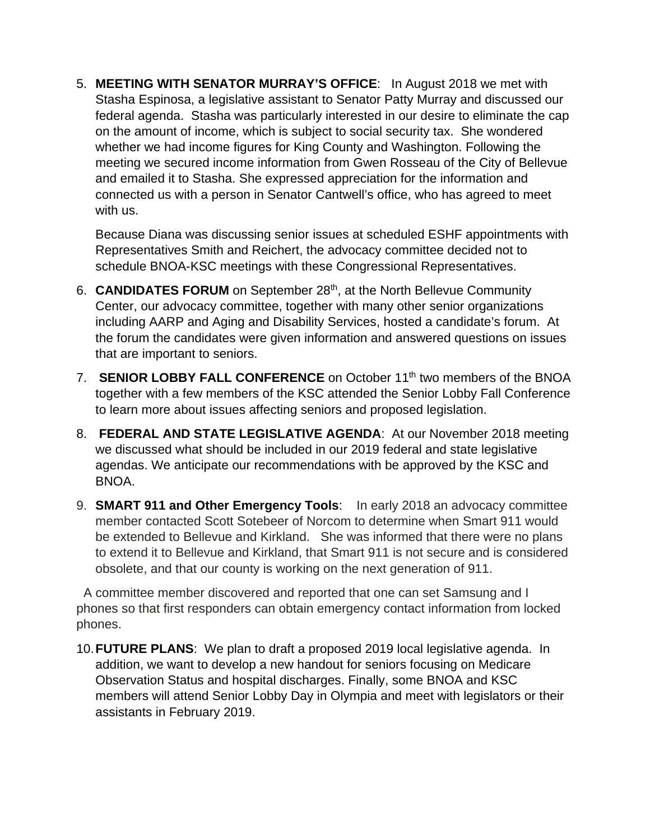5. **MEETING WITH SENATOR MURRAY'S OFFICE**: In August 2018 we met with Stasha Espinosa, a legislative assistant to Senator Patty Murray and discussed our federal agenda. Stasha was particularly interested in our desire to eliminate the cap on the amount of income, which is subject to social security tax. She wondered whether we had income figures for King County and Washington. Following the meeting we secured income information from Gwen Rosseau of the City of Bellevue and emailed it to Stasha. She expressed appreciation for the information and connected us with a person in Senator Cantwell's office, who has agreed to meet with us.

Because Diana was discussing senior issues at scheduled ESHF appointments with Representatives Smith and Reichert, the advocacy committee decided not to schedule BNOA-KSC meetings with these Congressional Representatives.

- 6. **CANDIDATES FORUM** on September 28th, at the North Bellevue Community Center, our advocacy committee, together with many other senior organizations including AARP and Aging and Disability Services, hosted a candidate's forum. At the forum the candidates were given information and answered questions on issues that are important to seniors.
- 7. **SENIOR LOBBY FALL CONFERENCE** on October 11<sup>th</sup> two members of the BNOA together with a few members of the KSC attended the Senior Lobby Fall Conference to learn more about issues affecting seniors and proposed legislation.
- 8. **FEDERAL AND STATE LEGISLATIVE AGENDA**: At our November 2018 meeting we discussed what should be included in our 2019 federal and state legislative agendas. We anticipate our recommendations with be approved by the KSC and BNOA.
- 9. **SMART 911 and Other Emergency Tools**: In early 2018 an advocacy committee member contacted Scott Sotebeer of Norcom to determine when Smart 911 would be extended to Bellevue and Kirkland. She was informed that there were no plans to extend it to Bellevue and Kirkland, that Smart 911 is not secure and is considered obsolete, and that our county is working on the next generation of 911.

A committee member discovered and reported that one can set Samsung and I phones so that first responders can obtain emergency contact information from locked phones.

10.**FUTURE PLANS**: We plan to draft a proposed 2019 local legislative agenda. In addition, we want to develop a new handout for seniors focusing on Medicare Observation Status and hospital discharges. Finally, some BNOA and KSC members will attend Senior Lobby Day in Olympia and meet with legislators or their assistants in February 2019.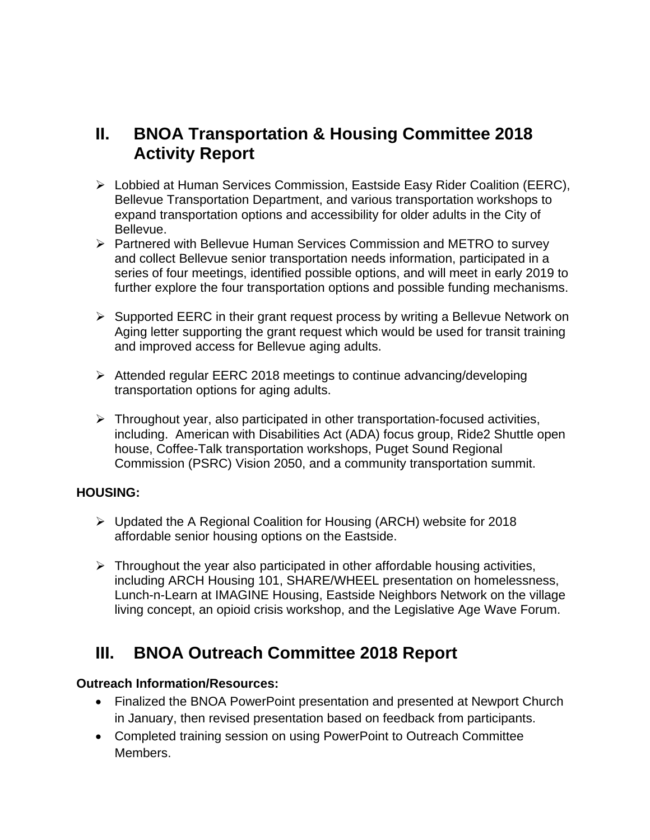### **II. BNOA Transportation & Housing Committee 2018 Activity Report**

- Lobbied at Human Services Commission, Eastside Easy Rider Coalition (EERC), Bellevue Transportation Department, and various transportation workshops to expand transportation options and accessibility for older adults in the City of Bellevue.
- $\triangleright$  Partnered with Bellevue Human Services Commission and METRO to survey and collect Bellevue senior transportation needs information, participated in a series of four meetings, identified possible options, and will meet in early 2019 to further explore the four transportation options and possible funding mechanisms.
- $\triangleright$  Supported EERC in their grant request process by writing a Bellevue Network on Aging letter supporting the grant request which would be used for transit training and improved access for Bellevue aging adults.
- $\triangleright$  Attended regular EERC 2018 meetings to continue advancing/developing transportation options for aging adults.
- $\triangleright$  Throughout year, also participated in other transportation-focused activities, including. American with Disabilities Act (ADA) focus group, Ride2 Shuttle open house, Coffee-Talk transportation workshops, Puget Sound Regional Commission (PSRC) Vision 2050, and a community transportation summit.

#### **HOUSING:**

- $\triangleright$  Updated the A Regional Coalition for Housing (ARCH) website for 2018 affordable senior housing options on the Eastside.
- $\triangleright$  Throughout the year also participated in other affordable housing activities, including ARCH Housing 101, SHARE/WHEEL presentation on homelessness, Lunch-n-Learn at IMAGINE Housing, Eastside Neighbors Network on the village living concept, an opioid crisis workshop, and the Legislative Age Wave Forum.

## **III. BNOA Outreach Committee 2018 Report**

#### **Outreach Information/Resources:**

- Finalized the BNOA PowerPoint presentation and presented at Newport Church in January, then revised presentation based on feedback from participants.
- Completed training session on using PowerPoint to Outreach Committee Members.